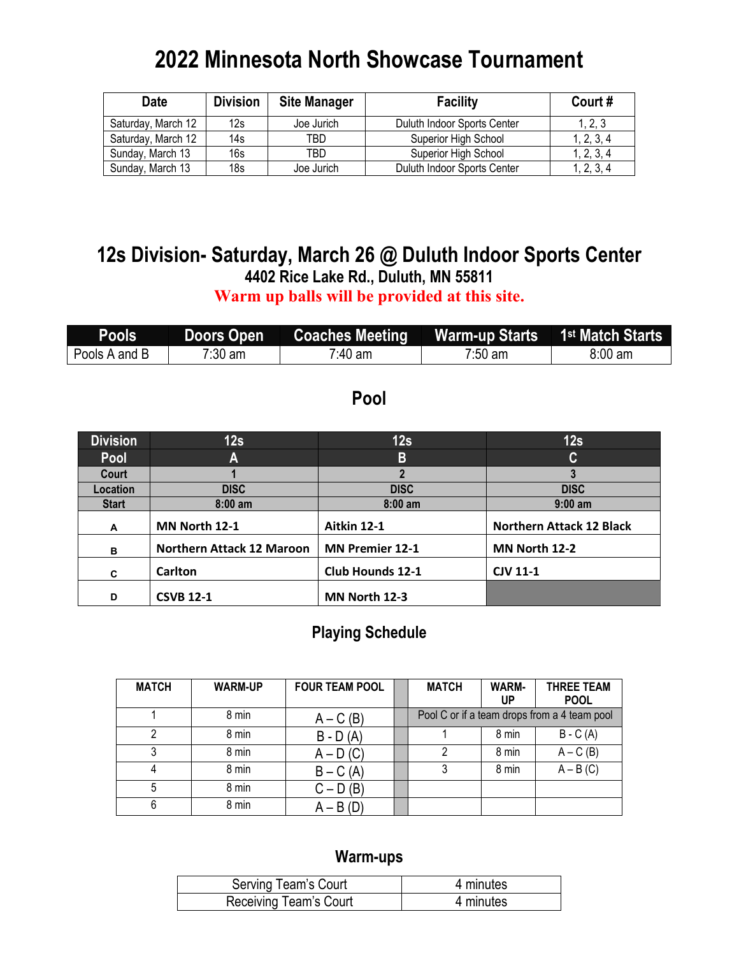# **2022 Minnesota North Showcase Tournament**

| <b>Date</b>        | <b>Division</b> | <b>Site Manager</b> | <b>Facility</b>             | Court#     |
|--------------------|-----------------|---------------------|-----------------------------|------------|
| Saturday, March 12 | 12s             | Joe Jurich          | Duluth Indoor Sports Center | 1, 2, 3    |
| Saturday, March 12 | 14s             | TBD                 | Superior High School        | 1, 2, 3, 4 |
| Sunday, March 13   | 16s             | TBD                 | Superior High School        | 1, 2, 3, 4 |
| Sunday, March 13   | 18s             | Joe Jurich          | Duluth Indoor Sports Center | 1, 2, 3, 4 |

# **12s Division- Saturday, March 26 @ Duluth Indoor Sports Center 4402 Rice Lake Rd., Duluth, MN 55811**

**Warm up balls will be provided at this site.**

| <b>Pools</b>  | <b>Doors Open</b> |         |                   |                   |
|---------------|-------------------|---------|-------------------|-------------------|
| Pools A and B | 7:30 am           | 7:40 am | $7:50 \text{ am}$ | $8:00 \text{ am}$ |

### **Pool**

| <b>Division</b> | 12s                              | 12s                     | 12s                             |
|-----------------|----------------------------------|-------------------------|---------------------------------|
| Pool            | A                                | B                       | C                               |
| Court           |                                  | 2                       | 3                               |
| Location        | <b>DISC</b>                      | <b>DISC</b>             | <b>DISC</b>                     |
| <b>Start</b>    | $8:00$ am                        | $8:00$ am               | $9:00$ am                       |
| A               | MN North 12-1                    | Aitkin 12-1             | <b>Northern Attack 12 Black</b> |
| в               | <b>Northern Attack 12 Maroon</b> | <b>MN Premier 12-1</b>  | MN North 12-2                   |
| C               | <b>Carlton</b>                   | <b>Club Hounds 12-1</b> | <b>CJV 11-1</b>                 |
| D               | <b>CSVB 12-1</b>                 | MN North 12-3           |                                 |

### **Playing Schedule**

| <b>MATCH</b> | <b>WARM-UP</b> | <b>FOUR TEAM POOL</b> | <b>MATCH</b> | <b>WARM-</b><br>UP | <b>THREE TEAM</b><br><b>POOL</b>             |
|--------------|----------------|-----------------------|--------------|--------------------|----------------------------------------------|
|              | 8 min          | $A - C(B)$            |              |                    | Pool C or if a team drops from a 4 team pool |
| っ            | 8 min          | $B - D(A)$            |              | 8 min              | $B - C(A)$                                   |
|              | 8 min          | $A - D(C)$            |              | 8 min              | $A - C(B)$                                   |
|              | 8 min          | $B - C(A)$            |              | 8 min              | $A - B(C)$                                   |
| 5            | 8 min          | $C - D(B)$            |              |                    |                                              |
| 6            | 8 min          | $A - B(D)$            |              |                    |                                              |

| Serving Team's Court   | 4 minutes |
|------------------------|-----------|
| Receiving Team's Court | 4 minutes |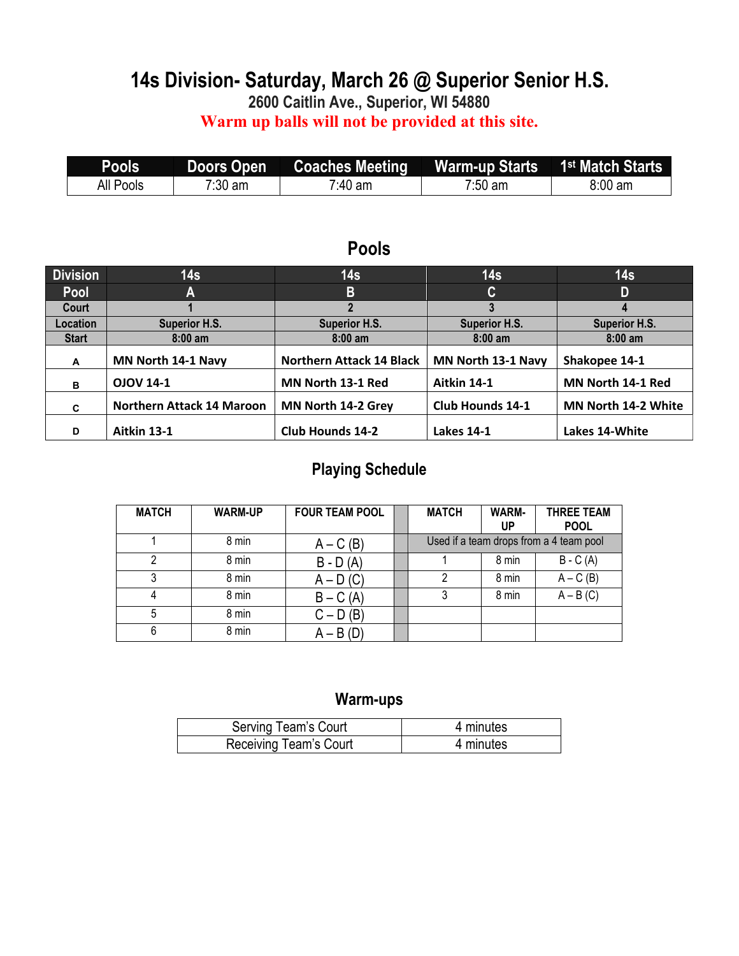## **14s Division- Saturday, March 26 @ Superior Senior H.S.**

**2600 Caitlin Ave., Superior, WI 54880**

**Warm up balls will not be provided at this site.**

| Pools            | <b>Doors Open</b> | <b>Coaches Meeting</b> | Warm-up Starts 1 <sup>st</sup> Match Starts |         |
|------------------|-------------------|------------------------|---------------------------------------------|---------|
| <b>All Pools</b> | $7:30$ am         | $7.40$ am              | $7:50$ am                                   | 8:00 am |

### **Pools**

| <b>Division</b> | 14 <sub>s</sub>                  | 14 <sub>s</sub>                 | 14 <sub>s</sub>         | 14 <sub>s</sub>      |
|-----------------|----------------------------------|---------------------------------|-------------------------|----------------------|
| Pool            | A                                | B                               | C                       | D                    |
| Court           |                                  |                                 |                         |                      |
| Location        | <b>Superior H.S.</b>             | <b>Superior H.S.</b>            | <b>Superior H.S.</b>    | <b>Superior H.S.</b> |
| <b>Start</b>    | $8:00$ am                        | $8:00$ am                       | $8:00$ am               | $8:00$ am            |
| A               | MN North 14-1 Navy               | <b>Northern Attack 14 Black</b> | MN North 13-1 Navy      | Shakopee 14-1        |
| в               | <b>OJOV 14-1</b>                 | MN North 13-1 Red               | Aitkin 14-1             | MN North 14-1 Red    |
| C               | <b>Northern Attack 14 Maroon</b> | MN North 14-2 Grey              | <b>Club Hounds 14-1</b> | MN North 14-2 White  |
| D               | Aitkin 13-1                      | <b>Club Hounds 14-2</b>         | <b>Lakes 14-1</b>       | Lakes 14-White       |

### **Playing Schedule**

| <b>MATCH</b> | <b>WARM-UP</b> | <b>FOUR TEAM POOL</b> | <b>MATCH</b> | WARM-<br>UP | <b>THREE TEAM</b><br><b>POOL</b>        |
|--------------|----------------|-----------------------|--------------|-------------|-----------------------------------------|
|              | 8 min          | $A - C(B)$            |              |             | Used if a team drops from a 4 team pool |
| ົ            | 8 min          | $B - D(A)$            |              | 8 min       | $B - C(A)$                              |
|              | 8 min          | $A - D(C)$            |              | 8 min       | $A - C(B)$                              |
|              | 8 min          | $B - C(A)$            |              | 8 min       | $A - B(C)$                              |
| 5            | 8 min          | $C - D(B)$            |              |             |                                         |
| 6            | 8 min          | $A - B(D)$            |              |             |                                         |

| Serving Team's Court   | 4 minutes |
|------------------------|-----------|
| Receiving Team's Court | 4 minutes |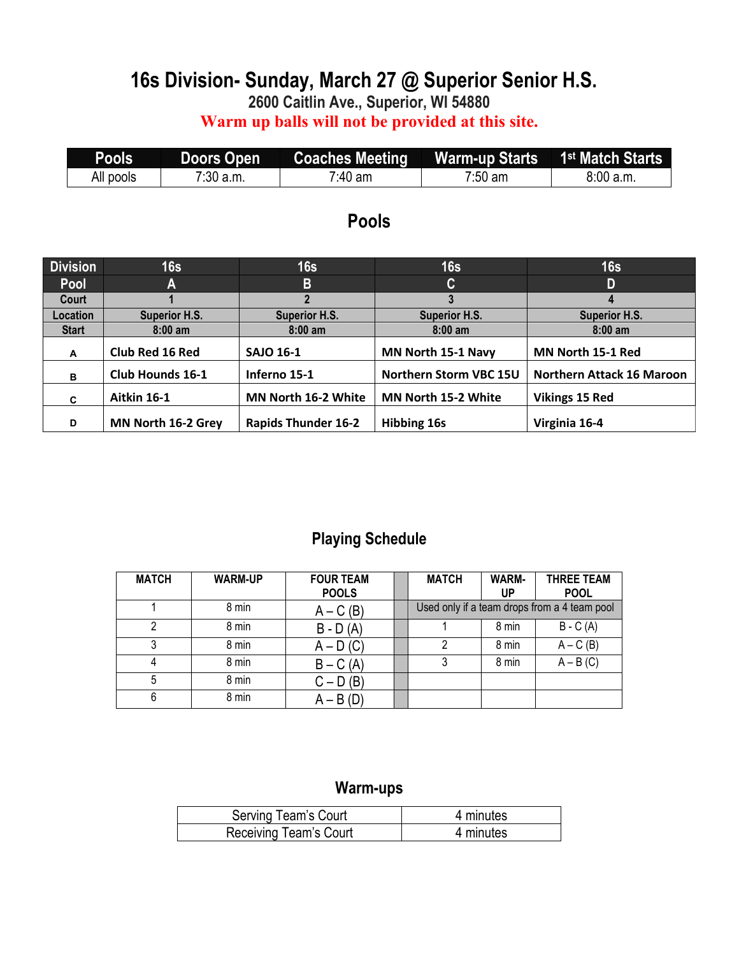# **16s Division- Sunday, March 27 @ Superior Senior H.S.**

**2600 Caitlin Ave., Superior, WI 54880**

**Warm up balls will not be provided at this site.**

| <b>Pools</b> | <b>Doors Open</b> | <b>Coaches Meeting</b> | Warm-up Starts 1 <sup>st</sup> Match Starts |          |
|--------------|-------------------|------------------------|---------------------------------------------|----------|
| All pools    | $7:30$ a.m.       | 7:40 am                | $7:50 \text{ am}$                           | 8:00a.m. |

### **Pools**

| <b>Division</b> | 16s                  | 16s                        | 16s                        | 16s                              |
|-----------------|----------------------|----------------------------|----------------------------|----------------------------------|
| Pool            | A                    | B                          | C                          | D                                |
| Court           |                      |                            |                            |                                  |
| Location        | <b>Superior H.S.</b> | <b>Superior H.S.</b>       | <b>Superior H.S.</b>       | <b>Superior H.S.</b>             |
| <b>Start</b>    | $8:00$ am            | $8:00$ am                  | $8:00$ am                  | $8:00$ am                        |
| A               | Club Red 16 Red      | <b>SAJO 16-1</b>           | MN North 15-1 Navy         | MN North 15-1 Red                |
| в               | Club Hounds 16-1     | Inferno 15-1               | Northern Storm VBC 15U     | <b>Northern Attack 16 Maroon</b> |
| C               | Aitkin 16-1          | MN North 16-2 White        | <b>MN North 15-2 White</b> | <b>Vikings 15 Red</b>            |
| D               | MN North 16-2 Grey   | <b>Rapids Thunder 16-2</b> | <b>Hibbing 16s</b>         | Virginia 16-4                    |

### **Playing Schedule**

| <b>MATCH</b> | <b>WARM-UP</b> | <b>FOUR TEAM</b><br><b>POOLS</b> | <b>MATCH</b> | <b>WARM-</b><br>UP | <b>THREE TEAM</b><br><b>POOL</b>             |
|--------------|----------------|----------------------------------|--------------|--------------------|----------------------------------------------|
|              | 8 min          | $A - C(B)$                       |              |                    | Used only if a team drops from a 4 team pool |
| ົ            | 8 min          | $B - D(A)$                       |              | 8 min              | $B - C(A)$                                   |
| 3            | 8 min          | $A - D(C)$                       | っ            | 8 min              | $A - C(B)$                                   |
|              | 8 min          | $B - C(A)$                       | 3            | 8 min              | $A - B(C)$                                   |
| 5            | 8 min          | $C - D(B)$                       |              |                    |                                              |
| 6            | 8 min          | $A - B(D)$                       |              |                    |                                              |

| Serving Team's Court   | 4 minutes |
|------------------------|-----------|
| Receiving Team's Court | 4 minutes |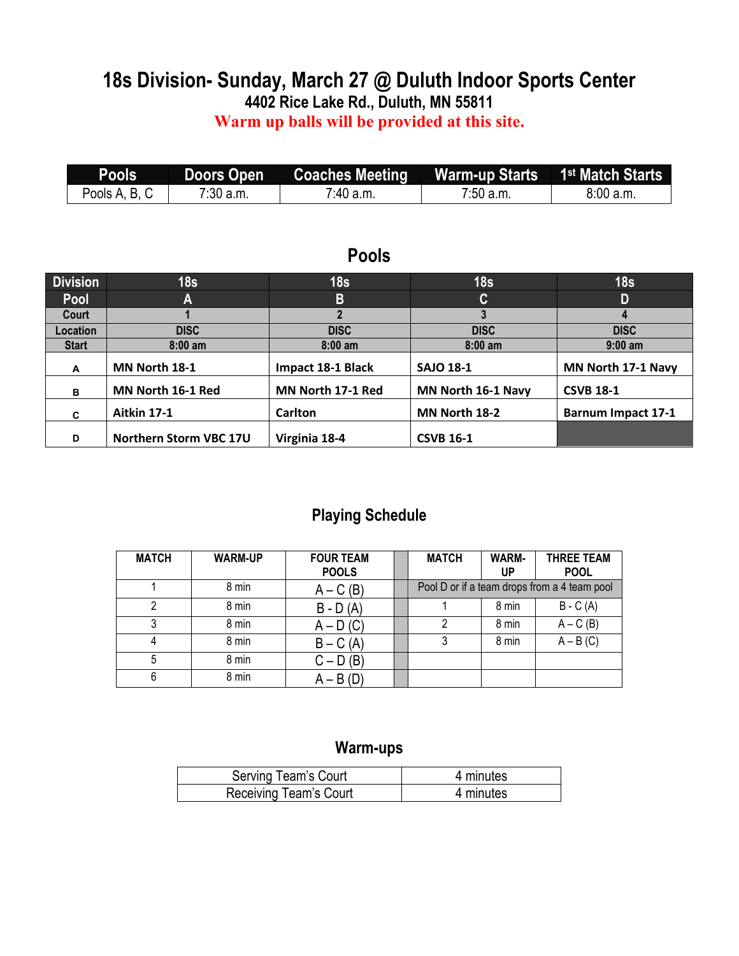### **18s Division- Sunday, March 27 @ Duluth Indoor Sports Center 4402 Rice Lake Rd., Duluth, MN 55811**

### **Warm up balls will be provided at this site.**

| Pools'        | <b>Doors Open</b> |           |             |          |
|---------------|-------------------|-----------|-------------|----------|
| Pools A, B, C | $7:30$ a.m.       | 7:40 a.m. | $7:50$ a.m. | 8:00a.m. |

### **Pools**

| <b>Division</b> | 18 <sub>s</sub>        | 18 <sub>s</sub>   | 18 <sub>s</sub>    | 18 <sub>s</sub>           |
|-----------------|------------------------|-------------------|--------------------|---------------------------|
| Pool            | A                      | B                 | C                  | D                         |
| Court           |                        |                   |                    |                           |
| Location        | <b>DISC</b>            | <b>DISC</b>       | <b>DISC</b>        | <b>DISC</b>               |
| <b>Start</b>    | $8:00$ am              | $8:00$ am         | $8:00$ am          | $9:00$ am                 |
| A               | MN North 18-1          | Impact 18-1 Black | <b>SAJO 18-1</b>   | MN North 17-1 Navy        |
| B               | MN North 16-1 Red      | MN North 17-1 Red | MN North 16-1 Navy | <b>CSVB 18-1</b>          |
| C               | Aitkin 17-1            | <b>Carlton</b>    | MN North 18-2      | <b>Barnum Impact 17-1</b> |
| D               | Northern Storm VBC 17U | Virginia 18-4     | <b>CSVB 16-1</b>   |                           |

### **Playing Schedule**

| <b>MATCH</b> | <b>WARM-UP</b> | <b>FOUR TEAM</b><br><b>POOLS</b> | <b>MATCH</b> | <b>WARM-</b><br>UP | <b>THREE TEAM</b><br><b>POOL</b>             |
|--------------|----------------|----------------------------------|--------------|--------------------|----------------------------------------------|
|              | 8 min          | $A - C(B)$                       |              |                    | Pool D or if a team drops from a 4 team pool |
|              | 8 min          | $B - D(A)$                       |              | 8 min              | $B - C(A)$                                   |
|              | 8 min          | $A - D(C)$                       |              | 8 min              | $A - C(B)$                                   |
|              | 8 min          | $B - C(A)$                       | 3            | 8 min              | $A - B(C)$                                   |
| 5            | 8 min          | $C - D(B)$                       |              |                    |                                              |
| 6            | 8 min          | $A - B(D)$                       |              |                    |                                              |

| Serving Team's Court   | 4 minutes |
|------------------------|-----------|
| Receiving Team's Court | 4 minutes |